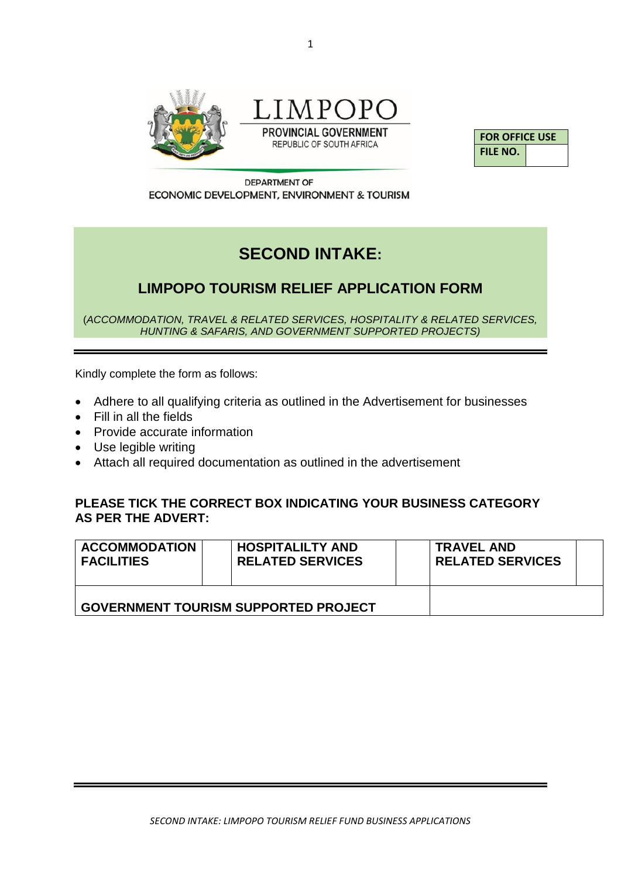

LIMPOPO **PROVINCIAL GOVERNMENT** 

REPUBLIC OF SOUTH AFRICA



**DEPARTMENT OF** ECONOMIC DEVELOPMENT, ENVIRONMENT & TOURISM

# **SECOND INTAKE:**

## **LIMPOPO TOURISM RELIEF APPLICATION FORM**

(*ACCOMMODATION, TRAVEL & RELATED SERVICES, HOSPITALITY & RELATED SERVICES, HUNTING & SAFARIS, AND GOVERNMENT SUPPORTED PROJECTS)*

Kindly complete the form as follows:

- Adhere to all qualifying criteria as outlined in the Advertisement for businesses
- Fill in all the fields
- Provide accurate information
- Use legible writing
- Attach all required documentation as outlined in the advertisement

### **PLEASE TICK THE CORRECT BOX INDICATING YOUR BUSINESS CATEGORY AS PER THE ADVERT:**

| <b>ACCOMMODATION</b><br><b>FACILITIES</b>   | <b>HOSPITALILTY AND</b><br><b>RELATED SERVICES</b> |  | <b>TRAVEL AND</b><br><b>RELATED SERVICES</b> |  |
|---------------------------------------------|----------------------------------------------------|--|----------------------------------------------|--|
| <b>GOVERNMENT TOURISM SUPPORTED PROJECT</b> |                                                    |  |                                              |  |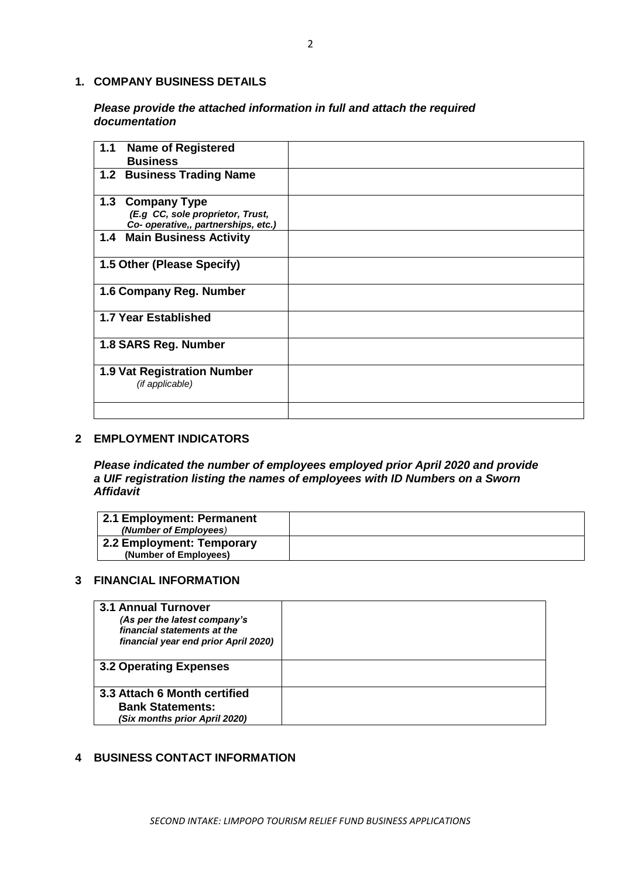#### **1. COMPANY BUSINESS DETAILS**

#### *Please provide the attached information in full and attach the required documentation*

| 1.1<br><b>Name of Registered</b><br><b>Business</b>                                         |  |
|---------------------------------------------------------------------------------------------|--|
| 1.2 Business Trading Name                                                                   |  |
| 1.3 Company Type<br>(E.g CC, sole proprietor, Trust,<br>Co- operative,, partnerships, etc.) |  |
| 1.4 Main Business Activity                                                                  |  |
| 1.5 Other (Please Specify)                                                                  |  |
| 1.6 Company Reg. Number                                                                     |  |
| 1.7 Year Established                                                                        |  |
| 1.8 SARS Reg. Number                                                                        |  |
| <b>1.9 Vat Registration Number</b><br>(if applicable)                                       |  |
|                                                                                             |  |

#### **2 EMPLOYMENT INDICATORS**

*Please indicated the number of employees employed prior April 2020 and provide a UIF registration listing the names of employees with ID Numbers on a Sworn Affidavit* 

| 2.1 Employment: Permanent<br>(Number of Employees) |  |
|----------------------------------------------------|--|
| 2.2 Employment: Temporary<br>(Number of Employees) |  |

#### **3 FINANCIAL INFORMATION**

| <b>3.1 Annual Turnover</b><br>(As per the latest company's<br>financial statements at the<br>financial year end prior April 2020) |  |
|-----------------------------------------------------------------------------------------------------------------------------------|--|
| <b>3.2 Operating Expenses</b>                                                                                                     |  |
| 3.3 Attach 6 Month certified<br><b>Bank Statements:</b><br>(Six months prior April 2020)                                          |  |

#### **4 BUSINESS CONTACT INFORMATION**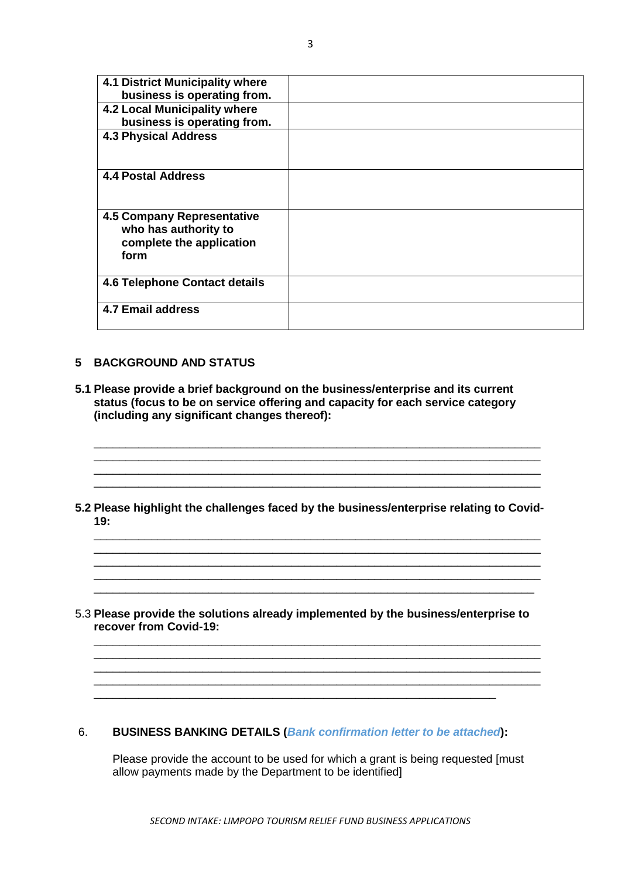| <b>4.1 District Municipality where</b><br>business is operating from.<br>4.2 Local Municipality where<br>business is operating from.<br><b>4.3 Physical Address</b> |  |
|---------------------------------------------------------------------------------------------------------------------------------------------------------------------|--|
| <b>4.4 Postal Address</b>                                                                                                                                           |  |
| 4.5 Company Representative<br>who has authority to<br>complete the application<br>form                                                                              |  |
| <b>4.6 Telephone Contact details</b>                                                                                                                                |  |
| <b>4.7 Email address</b>                                                                                                                                            |  |

#### **5 BACKGROUND AND STATUS**

- **5.1 Please provide a brief background on the business/enterprise and its current status (focus to be on service offering and capacity for each service category (including any significant changes thereof):**
- **5.2 Please highlight the challenges faced by the business/enterprise relating to Covid-19:**

\_\_\_\_\_\_\_\_\_\_\_\_\_\_\_\_\_\_\_\_\_\_\_\_\_\_\_\_\_\_\_\_\_\_\_\_\_\_\_\_\_\_\_\_\_\_\_\_\_\_\_\_\_\_\_\_\_\_\_\_\_\_\_\_\_\_\_\_\_\_

\_\_\_\_\_\_\_\_\_\_\_\_\_\_\_\_\_\_\_\_\_\_\_\_\_\_\_\_\_\_\_\_\_\_\_\_\_\_\_\_\_\_\_\_\_\_\_\_\_\_\_\_\_\_\_\_\_\_\_\_\_\_\_\_\_\_\_\_\_\_ \_\_\_\_\_\_\_\_\_\_\_\_\_\_\_\_\_\_\_\_\_\_\_\_\_\_\_\_\_\_\_\_\_\_\_\_\_\_\_\_\_\_\_\_\_\_\_\_\_\_\_\_\_\_\_\_\_\_\_\_\_\_\_\_\_\_\_\_\_

\_\_\_\_\_\_\_\_\_\_\_\_\_\_\_\_\_\_\_\_\_\_\_\_\_\_\_\_\_\_\_\_\_\_\_\_\_\_\_\_\_\_\_\_\_\_\_\_\_\_\_\_\_\_\_\_\_\_\_\_\_\_\_\_\_\_\_\_\_\_

\_\_\_\_\_\_\_\_\_\_\_\_\_\_\_\_\_\_\_\_\_\_\_\_\_\_\_\_\_\_\_\_\_\_\_\_\_\_\_\_\_\_\_\_\_\_\_\_\_\_\_\_\_\_\_\_\_\_\_\_\_\_\_\_\_\_\_\_\_\_ \_\_\_\_\_\_\_\_\_\_\_\_\_\_\_\_\_\_\_\_\_\_\_\_\_\_\_\_\_\_\_\_\_\_\_\_\_\_\_\_\_\_\_\_\_\_\_\_\_\_\_\_\_\_\_\_\_\_\_\_\_\_\_\_\_\_\_\_\_\_

 $\mathcal{L}_\text{max}$ 

\_\_\_\_\_\_\_\_\_\_\_\_\_\_\_\_\_\_\_\_\_\_\_\_\_\_\_\_\_\_\_\_\_\_\_\_\_\_\_\_\_\_\_\_\_\_\_\_\_\_\_\_\_\_\_\_\_\_\_\_\_\_\_\_\_\_\_\_\_\_ \_\_\_\_\_\_\_\_\_\_\_\_\_\_\_\_\_\_\_\_\_\_\_\_\_\_\_\_\_\_\_\_\_\_\_\_\_\_\_\_\_\_\_\_\_\_\_\_\_\_\_\_\_\_\_\_\_\_\_\_\_\_\_\_\_\_\_\_\_\_ \_\_\_\_\_\_\_\_\_\_\_\_\_\_\_\_\_\_\_\_\_\_\_\_\_\_\_\_\_\_\_\_\_\_\_\_\_\_\_\_\_\_\_\_\_\_\_\_\_\_\_\_\_\_\_\_\_\_\_\_\_\_\_\_\_\_\_\_\_\_ \_\_\_\_\_\_\_\_\_\_\_\_\_\_\_\_\_\_\_\_\_\_\_\_\_\_\_\_\_\_\_\_\_\_\_\_\_\_\_\_\_\_\_\_\_\_\_\_\_\_\_\_\_\_\_\_\_\_\_\_\_\_\_\_\_\_\_\_\_\_

5.3 **Please provide the solutions already implemented by the business/enterprise to recover from Covid-19:**

#### 6. **BUSINESS BANKING DETAILS (***Bank confirmation letter to be attached***):**

\_\_\_\_\_\_\_\_\_\_\_\_\_\_\_\_\_\_\_\_\_\_\_\_\_\_\_\_\_\_\_\_\_\_\_\_\_\_\_\_\_\_\_\_\_\_\_\_\_\_\_\_\_\_\_\_\_\_\_\_\_\_\_

Please provide the account to be used for which a grant is being requested [must allow payments made by the Department to be identified]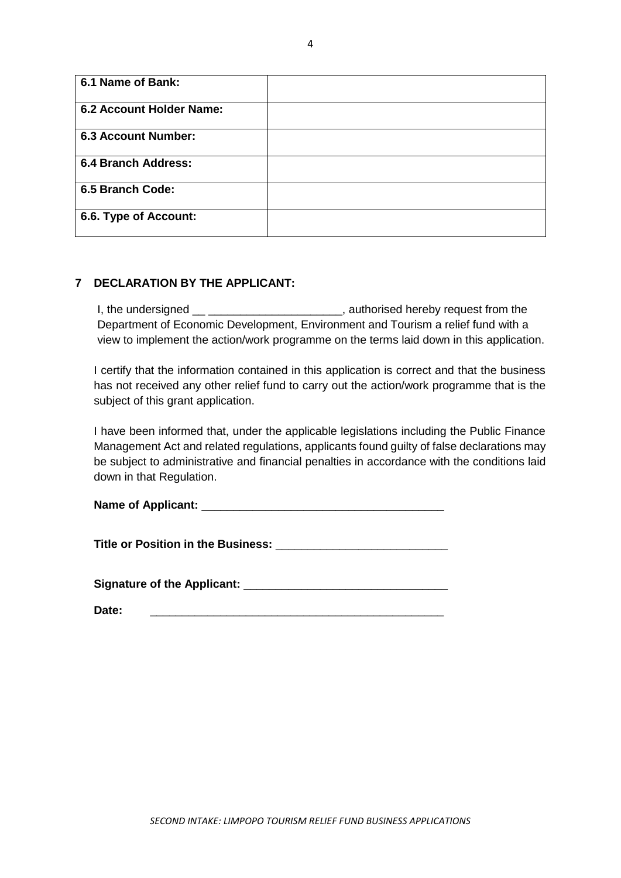| 6.1 Name of Bank:          |  |
|----------------------------|--|
| 6.2 Account Holder Name:   |  |
| <b>6.3 Account Number:</b> |  |
| <b>6.4 Branch Address:</b> |  |
| 6.5 Branch Code:           |  |
| 6.6. Type of Account:      |  |

#### **7 DECLARATION BY THE APPLICANT:**

I, the undersigned \_\_ \_\_\_\_\_\_\_\_\_\_\_\_\_\_\_\_\_\_\_\_\_\_, authorised hereby request from the Department of Economic Development, Environment and Tourism a relief fund with a view to implement the action/work programme on the terms laid down in this application.

I certify that the information contained in this application is correct and that the business has not received any other relief fund to carry out the action/work programme that is the subject of this grant application.

I have been informed that, under the applicable legislations including the Public Finance Management Act and related regulations, applicants found guilty of false declarations may be subject to administrative and financial penalties in accordance with the conditions laid down in that Regulation.

**Title or Position in the Business:** \_\_\_\_\_\_\_\_\_\_\_\_\_\_\_\_\_\_\_\_\_\_\_\_\_\_\_

**Signature of the Applicant:** \_\_\_\_\_\_\_\_\_\_\_\_\_\_\_\_\_\_\_\_\_\_\_\_\_\_\_\_\_\_\_\_

| Date: |  |  |  |
|-------|--|--|--|
|       |  |  |  |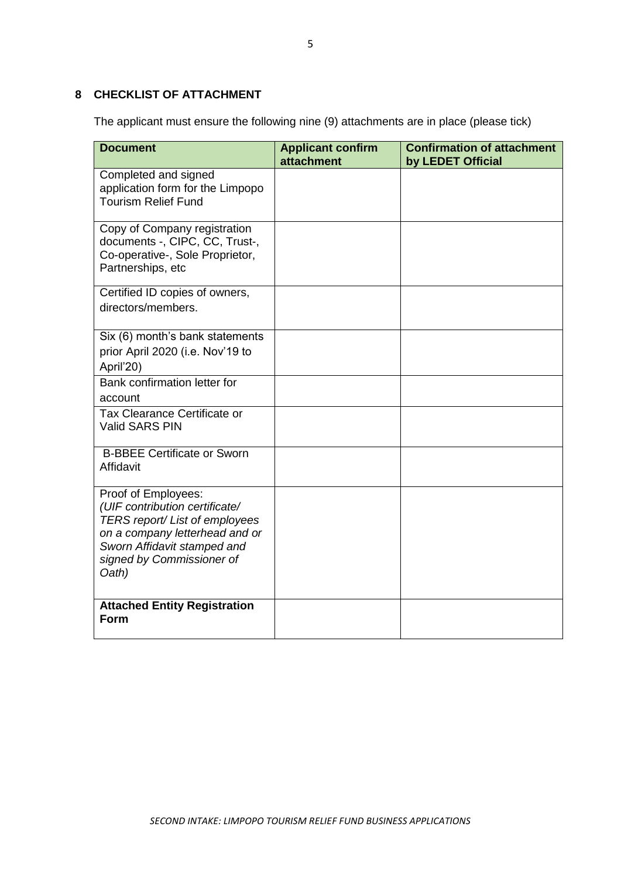### **8 CHECKLIST OF ATTACHMENT**

The applicant must ensure the following nine (9) attachments are in place (please tick)

| <b>Document</b>                                                                                                                                                                                | <b>Applicant confirm</b><br>attachment | <b>Confirmation of attachment</b><br>by LEDET Official |
|------------------------------------------------------------------------------------------------------------------------------------------------------------------------------------------------|----------------------------------------|--------------------------------------------------------|
| Completed and signed<br>application form for the Limpopo<br><b>Tourism Relief Fund</b>                                                                                                         |                                        |                                                        |
| Copy of Company registration<br>documents -, CIPC, CC, Trust-,<br>Co-operative-, Sole Proprietor,<br>Partnerships, etc                                                                         |                                        |                                                        |
| Certified ID copies of owners,<br>directors/members.                                                                                                                                           |                                        |                                                        |
| Six (6) month's bank statements<br>prior April 2020 (i.e. Nov'19 to<br>April'20)                                                                                                               |                                        |                                                        |
| Bank confirmation letter for<br>account                                                                                                                                                        |                                        |                                                        |
| Tax Clearance Certificate or<br><b>Valid SARS PIN</b>                                                                                                                                          |                                        |                                                        |
| <b>B-BBEE Certificate or Sworn</b><br>Affidavit                                                                                                                                                |                                        |                                                        |
| Proof of Employees:<br>(UIF contribution certificate/<br>TERS report/ List of employees<br>on a company letterhead and or<br>Sworn Affidavit stamped and<br>signed by Commissioner of<br>Oath) |                                        |                                                        |
| <b>Attached Entity Registration</b><br><b>Form</b>                                                                                                                                             |                                        |                                                        |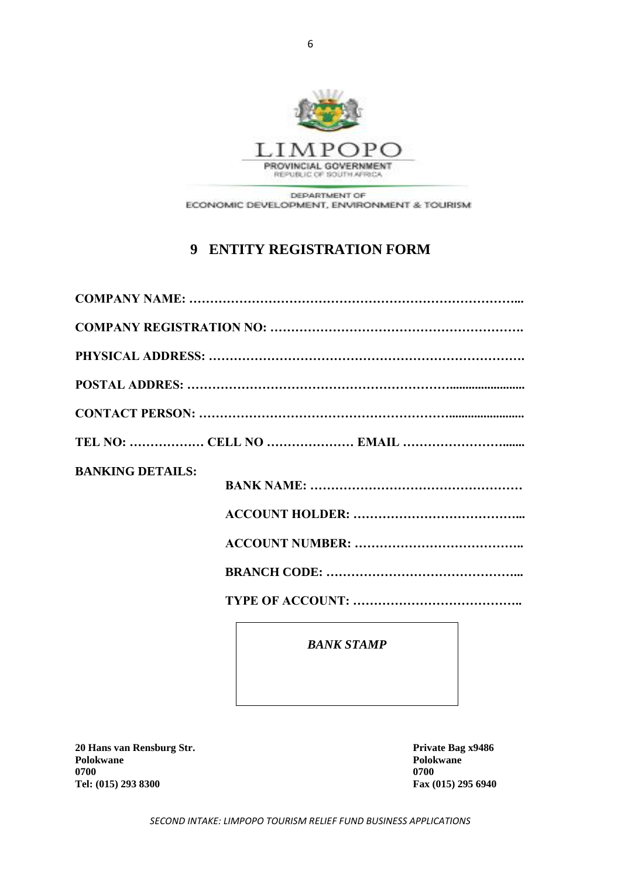

DEPARTMENT OF ECONOMIC DEVELOPMENT, ENVIRONMENT & TOURISM

## **9 ENTITY REGISTRATION FORM**

|                         | TEL NO:  CELL NO  EMAIL |
|-------------------------|-------------------------|
| <b>BANKING DETAILS:</b> |                         |
|                         | <b>BANK STAMP</b>       |

**20 Hans van Rensburg Str. Private Bag x9486 Polokwane Polokwane 0700 0700 Tel: (015) 293 8300 Fax (015) 295 6940**

*SECOND INTAKE: LIMPOPO TOURISM RELIEF FUND BUSINESS APPLICATIONS*